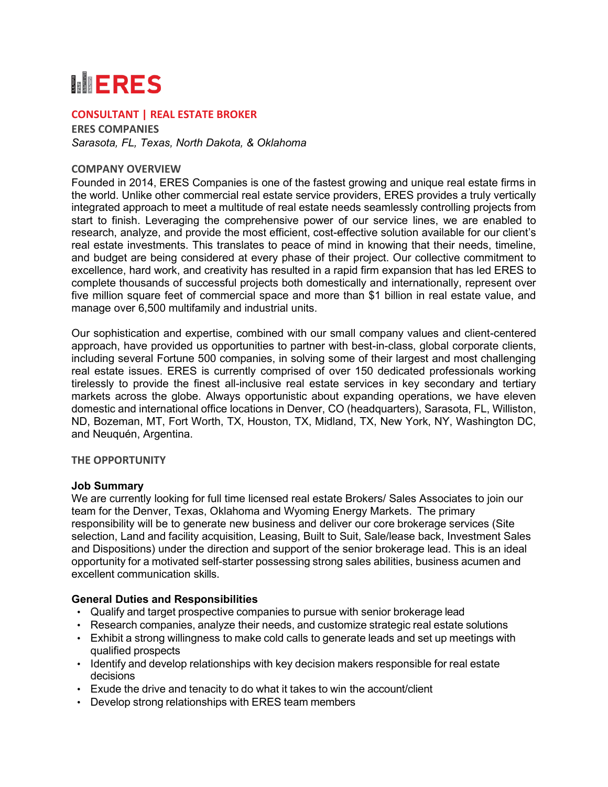# **MERES**

## **CONSULTANT | REAL ESTATE BROKER**

**ERES COMPANIES** *Sarasota, FL, Texas, North Dakota, & Oklahoma*

#### **COMPANY OVERVIEW**

Founded in 2014, ERES Companies is one of the fastest growing and unique real estate firms in the world. Unlike other commercial real estate service providers, ERES provides a truly vertically integrated approach to meet a multitude of real estate needs seamlessly controlling projects from start to finish. Leveraging the comprehensive power of our service lines, we are enabled to research, analyze, and provide the most efficient, cost-effective solution available for our client's real estate investments. This translates to peace of mind in knowing that their needs, timeline, and budget are being considered at every phase of their project. Our collective commitment to excellence, hard work, and creativity has resulted in a rapid firm expansion that has led ERES to complete thousands of successful projects both domestically and internationally, represent over five million square feet of commercial space and more than \$1 billion in real estate value, and manage over 6,500 multifamily and industrial units.

Our sophistication and expertise, combined with our small company values and client-centered approach, have provided us opportunities to partner with best-in-class, global corporate clients, including several Fortune 500 companies, in solving some of their largest and most challenging real estate issues. ERES is currently comprised of over 150 dedicated professionals working tirelessly to provide the finest all-inclusive real estate services in key secondary and tertiary markets across the globe. Always opportunistic about expanding operations, we have eleven domestic and international office locations in Denver, CO (headquarters), Sarasota, FL, Williston, ND, Bozeman, MT, Fort Worth, TX, Houston, TX, Midland, TX, New York, NY, Washington DC, and Neuquén, Argentina.

#### **THE OPPORTUNITY**

#### **Job Summary**

We are currently looking for full time licensed real estate Brokers/ Sales Associates to join our team for the Denver, Texas, Oklahoma and Wyoming Energy Markets. The primary responsibility will be to generate new business and deliver our core brokerage services (Site selection, Land and facility acquisition, Leasing, Built to Suit, Sale/lease back, Investment Sales and Dispositions) under the direction and support of the senior brokerage lead. This is an ideal opportunity for a motivated self-starter possessing strong sales abilities, business acumen and excellent communication skills.

## **General Duties and Responsibilities**

- Qualify and target prospective companies to pursue with senior brokerage lead
- Research companies, analyze their needs, and customize strategic real estate solutions
- Exhibit a strong willingness to make cold calls to generate leads and set up meetings with qualified prospects
- Identify and develop relationships with key decision makers responsible for real estate decisions
- Exude the drive and tenacity to do what it takes to win the account/client
- Develop strong relationships with ERES team members